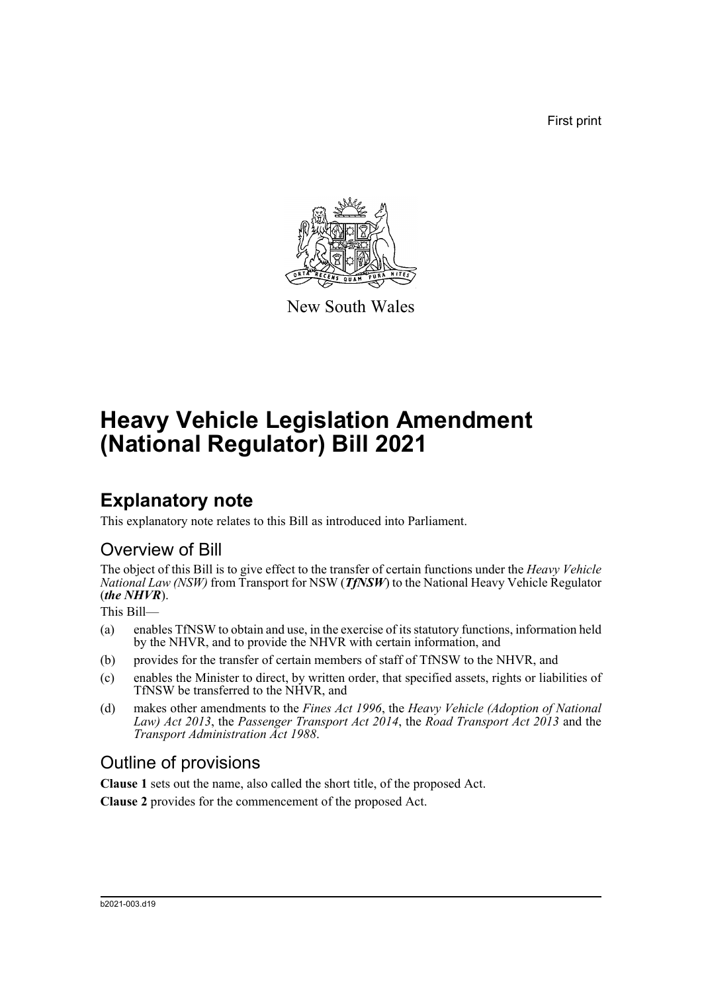First print



New South Wales

# **Heavy Vehicle Legislation Amendment (National Regulator) Bill 2021**

### **Explanatory note**

This explanatory note relates to this Bill as introduced into Parliament.

### Overview of Bill

The object of this Bill is to give effect to the transfer of certain functions under the *Heavy Vehicle National Law (NSW)* from Transport for NSW (*TfNSW*) to the National Heavy Vehicle Regulator (*the NHVR*).

This Bill—

- (a) enables TfNSW to obtain and use, in the exercise of its statutory functions, information held by the NHVR, and to provide the NHVR with certain information, and
- (b) provides for the transfer of certain members of staff of TfNSW to the NHVR, and
- (c) enables the Minister to direct, by written order, that specified assets, rights or liabilities of TfNSW be transferred to the NHVR, and
- (d) makes other amendments to the *Fines Act 1996*, the *Heavy Vehicle (Adoption of National Law) Act 2013*, the *Passenger Transport Act 2014*, the *Road Transport Act 2013* and the *Transport Administration Act 1988*.

### Outline of provisions

**Clause 1** sets out the name, also called the short title, of the proposed Act.

**Clause 2** provides for the commencement of the proposed Act.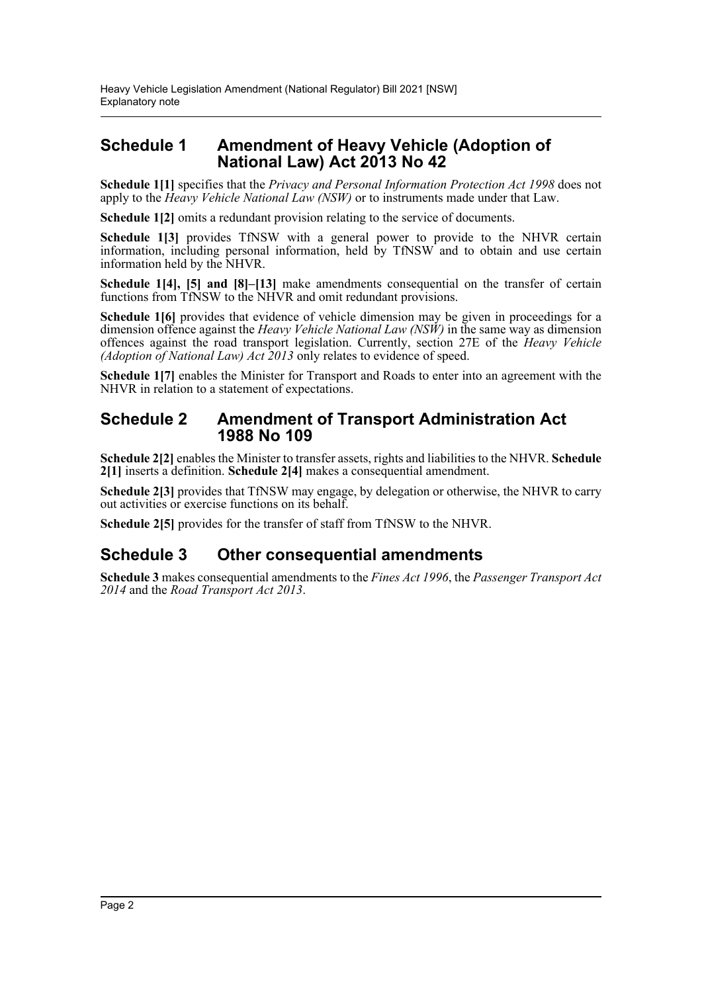### **Schedule 1 Amendment of Heavy Vehicle (Adoption of National Law) Act 2013 No 42**

**Schedule 1[1]** specifies that the *Privacy and Personal Information Protection Act 1998* does not apply to the *Heavy Vehicle National Law (NSW)* or to instruments made under that Law.

**Schedule 1[2]** omits a redundant provision relating to the service of documents.

**Schedule 1[3]** provides TfNSW with a general power to provide to the NHVR certain information, including personal information, held by TfNSW and to obtain and use certain information held by the NHVR.

**Schedule 1[4], [5] and [8]–[13]** make amendments consequential on the transfer of certain functions from TfNSW to the NHVR and omit redundant provisions.

**Schedule 16** provides that evidence of vehicle dimension may be given in proceedings for a dimension offence against the *Heavy Vehicle National Law (NSW)* in the same way as dimension offences against the road transport legislation. Currently, section 27E of the *Heavy Vehicle (Adoption of National Law) Act 2013* only relates to evidence of speed.

**Schedule 1[7]** enables the Minister for Transport and Roads to enter into an agreement with the NHVR in relation to a statement of expectations.

#### **Schedule 2 Amendment of Transport Administration Act 1988 No 109**

**Schedule 2[2]** enables the Minister to transfer assets, rights and liabilities to the NHVR. **Schedule 2[1]** inserts a definition. **Schedule 2[4]** makes a consequential amendment.

**Schedule 2[3]** provides that TfNSW may engage, by delegation or otherwise, the NHVR to carry out activities or exercise functions on its behalf.

**Schedule 2[5]** provides for the transfer of staff from TfNSW to the NHVR.

### **Schedule 3 Other consequential amendments**

**Schedule 3** makes consequential amendments to the *Fines Act 1996*, the *Passenger Transport Act 2014* and the *Road Transport Act 2013*.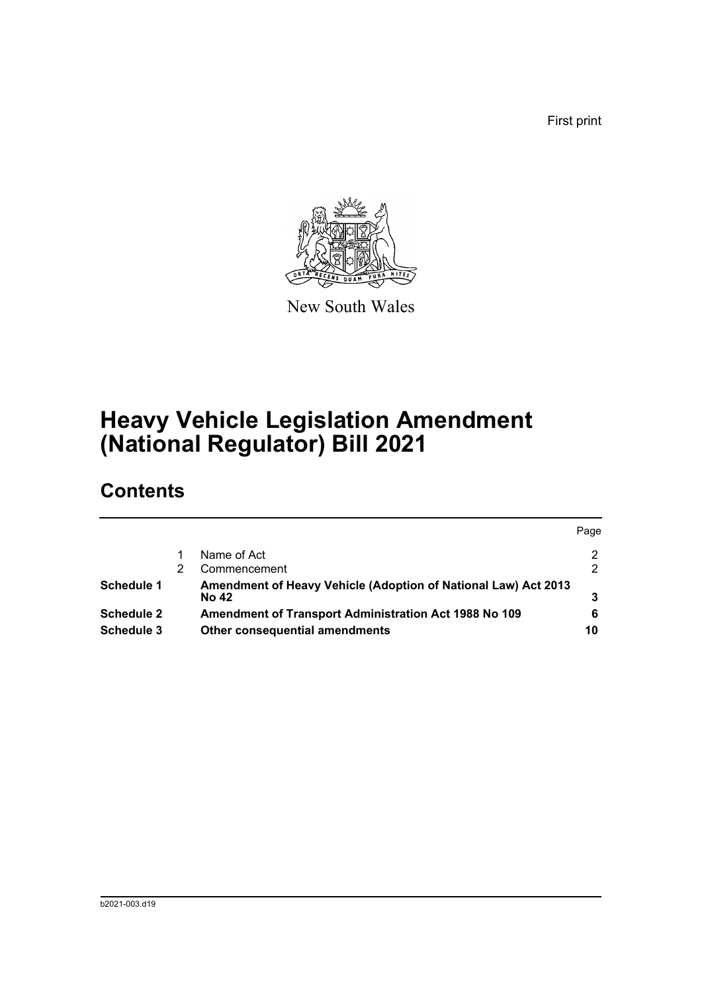First print



New South Wales

# **Heavy Vehicle Legislation Amendment (National Regulator) Bill 2021**

## **Contents**

|                   |                                                                | Page |
|-------------------|----------------------------------------------------------------|------|
|                   | Name of Act                                                    | 2    |
|                   | Commencement                                                   | 2    |
| Schedule 1        | Amendment of Heavy Vehicle (Adoption of National Law) Act 2013 |      |
|                   | <b>No 42</b>                                                   |      |
| <b>Schedule 2</b> | Amendment of Transport Administration Act 1988 No 109          | 6    |
| Schedule 3        | Other consequential amendments                                 | 10   |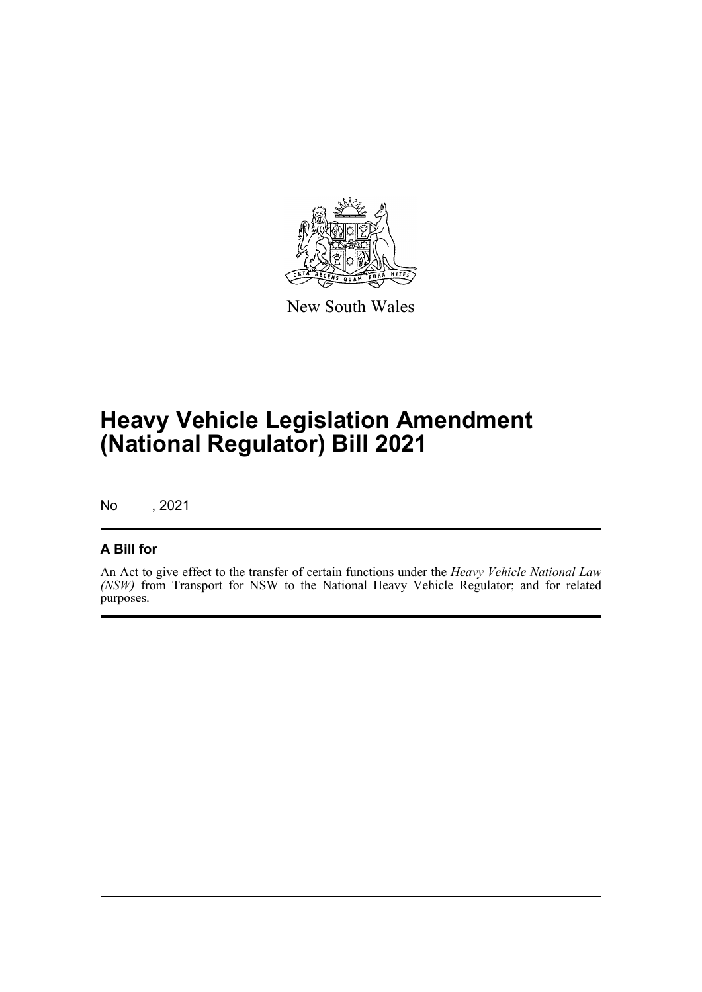

New South Wales

# **Heavy Vehicle Legislation Amendment (National Regulator) Bill 2021**

No , 2021

#### **A Bill for**

An Act to give effect to the transfer of certain functions under the *Heavy Vehicle National Law (NSW)* from Transport for NSW to the National Heavy Vehicle Regulator; and for related purposes.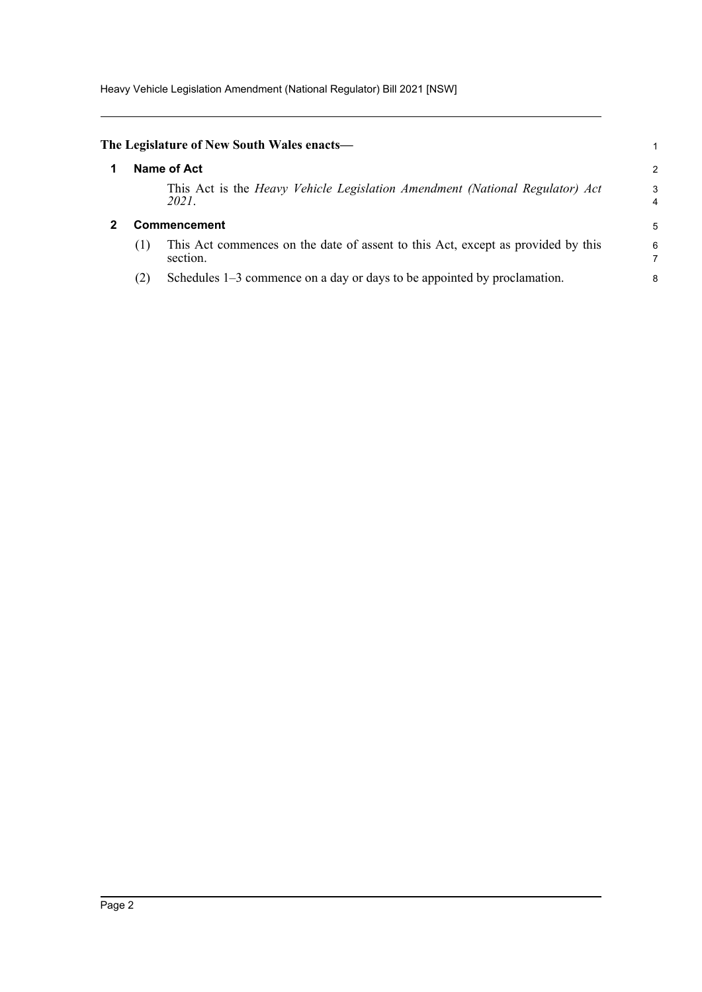<span id="page-4-1"></span><span id="page-4-0"></span>

|                     | The Legislature of New South Wales enacts—                                                   |        |  |  |  |
|---------------------|----------------------------------------------------------------------------------------------|--------|--|--|--|
|                     | Name of Act                                                                                  | 2      |  |  |  |
|                     | This Act is the Heavy Vehicle Legislation Amendment (National Regulator) Act<br>2021.        | 3<br>4 |  |  |  |
| <b>Commencement</b> |                                                                                              |        |  |  |  |
| (1)                 | This Act commences on the date of assent to this Act, except as provided by this<br>section. | 6      |  |  |  |
| (2)                 | Schedules 1–3 commence on a day or days to be appointed by proclamation.                     | 8      |  |  |  |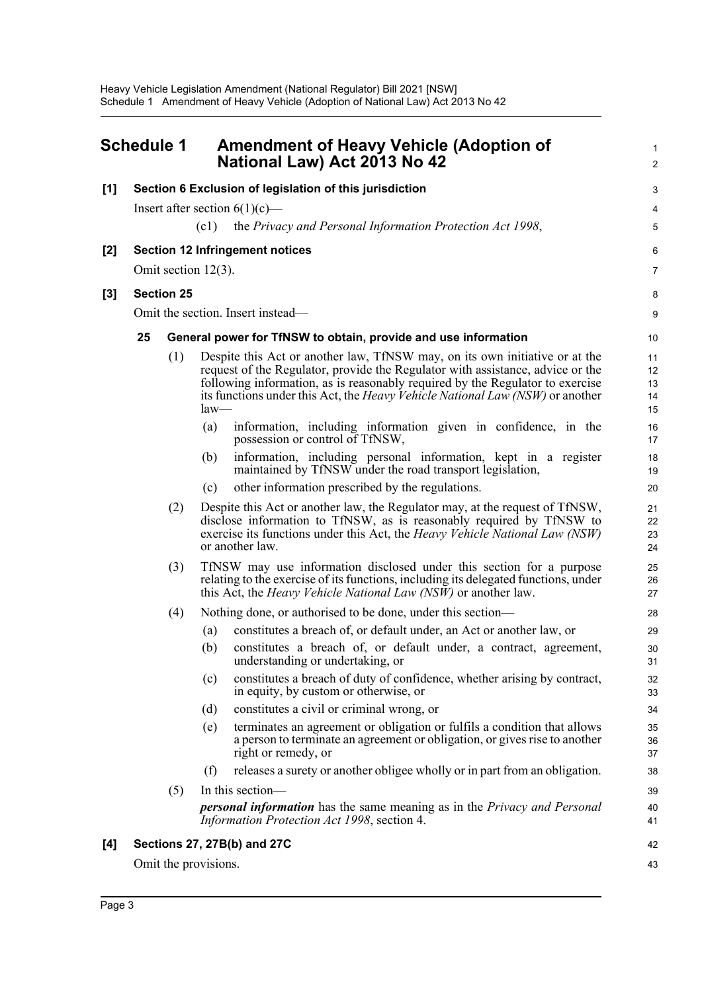<span id="page-5-0"></span>

|       | <b>Schedule 1</b>                                                                                                                                                                                                                                                    |                                                                                                                                       |                                                                                                                                                                                                                                      | <b>Amendment of Heavy Vehicle (Adoption of</b><br>National Law) Act 2013 No 42                                                                                                                                                                                                                                                         | $\mathbf{1}$<br>$\overline{c}$ |  |  |  |  |  |
|-------|----------------------------------------------------------------------------------------------------------------------------------------------------------------------------------------------------------------------------------------------------------------------|---------------------------------------------------------------------------------------------------------------------------------------|--------------------------------------------------------------------------------------------------------------------------------------------------------------------------------------------------------------------------------------|----------------------------------------------------------------------------------------------------------------------------------------------------------------------------------------------------------------------------------------------------------------------------------------------------------------------------------------|--------------------------------|--|--|--|--|--|
| [1]   |                                                                                                                                                                                                                                                                      |                                                                                                                                       |                                                                                                                                                                                                                                      | Section 6 Exclusion of legislation of this jurisdiction                                                                                                                                                                                                                                                                                | 3                              |  |  |  |  |  |
|       |                                                                                                                                                                                                                                                                      |                                                                                                                                       |                                                                                                                                                                                                                                      | Insert after section $6(1)(c)$ —                                                                                                                                                                                                                                                                                                       | 4                              |  |  |  |  |  |
|       |                                                                                                                                                                                                                                                                      |                                                                                                                                       | (c1)                                                                                                                                                                                                                                 | the Privacy and Personal Information Protection Act 1998,                                                                                                                                                                                                                                                                              | 5                              |  |  |  |  |  |
| $[2]$ |                                                                                                                                                                                                                                                                      |                                                                                                                                       |                                                                                                                                                                                                                                      | <b>Section 12 Infringement notices</b>                                                                                                                                                                                                                                                                                                 | 6                              |  |  |  |  |  |
|       |                                                                                                                                                                                                                                                                      |                                                                                                                                       | Omit section $12(3)$ .                                                                                                                                                                                                               |                                                                                                                                                                                                                                                                                                                                        | $\overline{7}$                 |  |  |  |  |  |
| [3]   |                                                                                                                                                                                                                                                                      | <b>Section 25</b>                                                                                                                     |                                                                                                                                                                                                                                      |                                                                                                                                                                                                                                                                                                                                        | 8                              |  |  |  |  |  |
|       | Omit the section. Insert instead—                                                                                                                                                                                                                                    |                                                                                                                                       |                                                                                                                                                                                                                                      |                                                                                                                                                                                                                                                                                                                                        |                                |  |  |  |  |  |
|       | 25<br>General power for TfNSW to obtain, provide and use information                                                                                                                                                                                                 |                                                                                                                                       |                                                                                                                                                                                                                                      |                                                                                                                                                                                                                                                                                                                                        |                                |  |  |  |  |  |
|       |                                                                                                                                                                                                                                                                      | (1)                                                                                                                                   | $law-$                                                                                                                                                                                                                               | Despite this Act or another law, TfNSW may, on its own initiative or at the<br>request of the Regulator, provide the Regulator with assistance, advice or the<br>following information, as is reasonably required by the Regulator to exercise<br>its functions under this Act, the <i>Heavy Vehicle National Law</i> (NSW) or another | 11<br>12<br>13<br>14<br>15     |  |  |  |  |  |
|       |                                                                                                                                                                                                                                                                      |                                                                                                                                       | (a)                                                                                                                                                                                                                                  | information, including information given in confidence, in the<br>possession or control of TfNSW,                                                                                                                                                                                                                                      | 16<br>17                       |  |  |  |  |  |
|       |                                                                                                                                                                                                                                                                      |                                                                                                                                       | (b)                                                                                                                                                                                                                                  | information, including personal information, kept in a register<br>maintained by TfNSW under the road transport legislation,                                                                                                                                                                                                           | 18<br>19                       |  |  |  |  |  |
|       |                                                                                                                                                                                                                                                                      |                                                                                                                                       | (c)                                                                                                                                                                                                                                  | other information prescribed by the regulations.                                                                                                                                                                                                                                                                                       | 20                             |  |  |  |  |  |
|       | Despite this Act or another law, the Regulator may, at the request of TfNSW,<br>(2)<br>disclose information to TfNSW, as is reasonably required by TfNSW to<br>exercise its functions under this Act, the <i>Heavy Vehicle National Law (NSW)</i><br>or another law. |                                                                                                                                       |                                                                                                                                                                                                                                      |                                                                                                                                                                                                                                                                                                                                        |                                |  |  |  |  |  |
|       |                                                                                                                                                                                                                                                                      | (3)                                                                                                                                   | TfNSW may use information disclosed under this section for a purpose<br>relating to the exercise of its functions, including its delegated functions, under<br>this Act, the <i>Heavy Vehicle National Law (NSW)</i> or another law. |                                                                                                                                                                                                                                                                                                                                        |                                |  |  |  |  |  |
|       |                                                                                                                                                                                                                                                                      | (4)                                                                                                                                   |                                                                                                                                                                                                                                      | Nothing done, or authorised to be done, under this section—                                                                                                                                                                                                                                                                            | 28                             |  |  |  |  |  |
|       |                                                                                                                                                                                                                                                                      |                                                                                                                                       | (a)                                                                                                                                                                                                                                  | constitutes a breach of, or default under, an Act or another law, or                                                                                                                                                                                                                                                                   | 29                             |  |  |  |  |  |
|       |                                                                                                                                                                                                                                                                      |                                                                                                                                       | (b)                                                                                                                                                                                                                                  | constitutes a breach of, or default under, a contract, agreement,<br>understanding or undertaking, or                                                                                                                                                                                                                                  | 30<br>31                       |  |  |  |  |  |
|       |                                                                                                                                                                                                                                                                      |                                                                                                                                       | (c)                                                                                                                                                                                                                                  | constitutes a breach of duty of confidence, whether arising by contract,<br>in equity, by custom or otherwise, or                                                                                                                                                                                                                      | 32<br>33                       |  |  |  |  |  |
|       |                                                                                                                                                                                                                                                                      |                                                                                                                                       | (d)                                                                                                                                                                                                                                  | constitutes a civil or criminal wrong, or                                                                                                                                                                                                                                                                                              | 34                             |  |  |  |  |  |
|       |                                                                                                                                                                                                                                                                      |                                                                                                                                       | (e)                                                                                                                                                                                                                                  | terminates an agreement or obligation or fulfils a condition that allows<br>a person to terminate an agreement or obligation, or gives rise to another<br>right or remedy, or                                                                                                                                                          | 35<br>36<br>37                 |  |  |  |  |  |
|       |                                                                                                                                                                                                                                                                      |                                                                                                                                       | (f)                                                                                                                                                                                                                                  | releases a surety or another obligee wholly or in part from an obligation.                                                                                                                                                                                                                                                             | 38                             |  |  |  |  |  |
|       |                                                                                                                                                                                                                                                                      | (5)                                                                                                                                   |                                                                                                                                                                                                                                      | In this section-                                                                                                                                                                                                                                                                                                                       | 39                             |  |  |  |  |  |
|       |                                                                                                                                                                                                                                                                      | <b>personal information</b> has the same meaning as in the <i>Privacy and Personal</i><br>Information Protection Act 1998, section 4. | 40<br>41                                                                                                                                                                                                                             |                                                                                                                                                                                                                                                                                                                                        |                                |  |  |  |  |  |
| [4]   |                                                                                                                                                                                                                                                                      |                                                                                                                                       |                                                                                                                                                                                                                                      | Sections 27, 27B(b) and 27C                                                                                                                                                                                                                                                                                                            | 42                             |  |  |  |  |  |
|       |                                                                                                                                                                                                                                                                      |                                                                                                                                       | Omit the provisions.                                                                                                                                                                                                                 |                                                                                                                                                                                                                                                                                                                                        | 43                             |  |  |  |  |  |
|       |                                                                                                                                                                                                                                                                      |                                                                                                                                       |                                                                                                                                                                                                                                      |                                                                                                                                                                                                                                                                                                                                        |                                |  |  |  |  |  |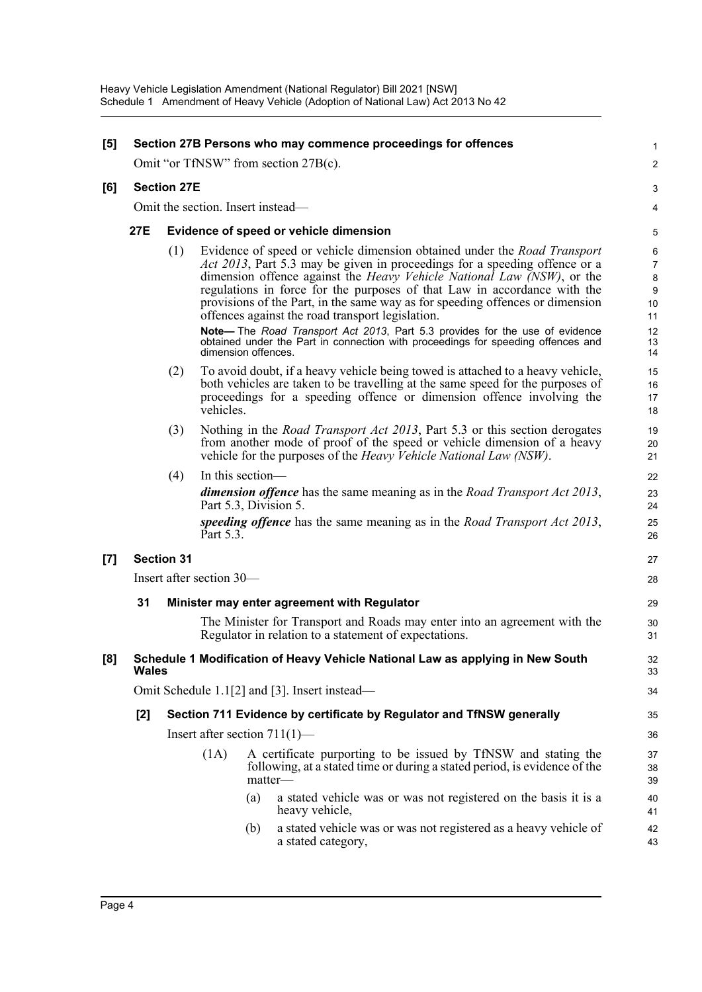| $[5]$ |                                                                                                                                    |                                                                                                |                       |     | Section 27B Persons who may commence proceedings for offences                                                                                                                                                                                                                                                                                                                                                                                                                                                                                                                                                                       | 1<br>$\overline{c}$                                                              |  |  |
|-------|------------------------------------------------------------------------------------------------------------------------------------|------------------------------------------------------------------------------------------------|-----------------------|-----|-------------------------------------------------------------------------------------------------------------------------------------------------------------------------------------------------------------------------------------------------------------------------------------------------------------------------------------------------------------------------------------------------------------------------------------------------------------------------------------------------------------------------------------------------------------------------------------------------------------------------------------|----------------------------------------------------------------------------------|--|--|
|       | Omit "or TfNSW" from section 27B(c).                                                                                               |                                                                                                |                       |     |                                                                                                                                                                                                                                                                                                                                                                                                                                                                                                                                                                                                                                     |                                                                                  |  |  |
| [6]   |                                                                                                                                    | <b>Section 27E</b>                                                                             |                       |     |                                                                                                                                                                                                                                                                                                                                                                                                                                                                                                                                                                                                                                     |                                                                                  |  |  |
|       | Omit the section. Insert instead—<br>27E<br>Evidence of speed or vehicle dimension                                                 |                                                                                                |                       |     |                                                                                                                                                                                                                                                                                                                                                                                                                                                                                                                                                                                                                                     |                                                                                  |  |  |
|       |                                                                                                                                    |                                                                                                |                       |     |                                                                                                                                                                                                                                                                                                                                                                                                                                                                                                                                                                                                                                     | 5                                                                                |  |  |
|       |                                                                                                                                    | (1)                                                                                            | dimension offences.   |     | Evidence of speed or vehicle dimension obtained under the <i>Road Transport</i><br>Act 2013, Part 5.3 may be given in proceedings for a speeding offence or a<br>dimension offence against the <i>Heavy Vehicle National Law (NSW)</i> , or the<br>regulations in force for the purposes of that Law in accordance with the<br>provisions of the Part, in the same way as for speeding offences or dimension<br>offences against the road transport legislation.<br>Note-The Road Transport Act 2013, Part 5.3 provides for the use of evidence<br>obtained under the Part in connection with proceedings for speeding offences and | 6<br>$\overline{7}$<br>$\bf 8$<br>$\boldsymbol{9}$<br>10<br>11<br>12<br>13<br>14 |  |  |
|       |                                                                                                                                    | (2)                                                                                            | vehicles.             |     | To avoid doubt, if a heavy vehicle being towed is attached to a heavy vehicle,<br>both vehicles are taken to be travelling at the same speed for the purposes of<br>proceedings for a speeding offence or dimension offence involving the                                                                                                                                                                                                                                                                                                                                                                                           | 15<br>16<br>17<br>18                                                             |  |  |
|       |                                                                                                                                    | (3)                                                                                            |                       |     | Nothing in the <i>Road Transport Act 2013</i> , Part 5.3 or this section derogates<br>from another mode of proof of the speed or vehicle dimension of a heavy<br>vehicle for the purposes of the <i>Heavy Vehicle National Law (NSW)</i> .                                                                                                                                                                                                                                                                                                                                                                                          | 19<br>20<br>21                                                                   |  |  |
|       |                                                                                                                                    | (4)                                                                                            | In this section—      |     |                                                                                                                                                                                                                                                                                                                                                                                                                                                                                                                                                                                                                                     | 22                                                                               |  |  |
|       |                                                                                                                                    |                                                                                                | Part 5.3, Division 5. |     | <b>dimension offence</b> has the same meaning as in the <i>Road Transport Act 2013</i> ,                                                                                                                                                                                                                                                                                                                                                                                                                                                                                                                                            | 23<br>24                                                                         |  |  |
|       |                                                                                                                                    |                                                                                                | Part 5.3.             |     | speeding offence has the same meaning as in the Road Transport Act 2013,                                                                                                                                                                                                                                                                                                                                                                                                                                                                                                                                                            | 25<br>26                                                                         |  |  |
| [7]   |                                                                                                                                    | <b>Section 31</b>                                                                              |                       |     |                                                                                                                                                                                                                                                                                                                                                                                                                                                                                                                                                                                                                                     |                                                                                  |  |  |
|       |                                                                                                                                    | Insert after section 30—                                                                       |                       |     |                                                                                                                                                                                                                                                                                                                                                                                                                                                                                                                                                                                                                                     |                                                                                  |  |  |
|       | 31<br>Minister may enter agreement with Regulator                                                                                  |                                                                                                |                       |     |                                                                                                                                                                                                                                                                                                                                                                                                                                                                                                                                                                                                                                     |                                                                                  |  |  |
|       | The Minister for Transport and Roads may enter into an agreement with the<br>Regulator in relation to a statement of expectations. |                                                                                                |                       |     |                                                                                                                                                                                                                                                                                                                                                                                                                                                                                                                                                                                                                                     |                                                                                  |  |  |
| [8]   |                                                                                                                                    | Schedule 1 Modification of Heavy Vehicle National Law as applying in New South<br><b>Wales</b> |                       |     |                                                                                                                                                                                                                                                                                                                                                                                                                                                                                                                                                                                                                                     |                                                                                  |  |  |
|       |                                                                                                                                    | Omit Schedule 1.1[2] and [3]. Insert instead—                                                  |                       |     |                                                                                                                                                                                                                                                                                                                                                                                                                                                                                                                                                                                                                                     |                                                                                  |  |  |
|       | [2]                                                                                                                                | Section 711 Evidence by certificate by Regulator and TfNSW generally                           |                       |     |                                                                                                                                                                                                                                                                                                                                                                                                                                                                                                                                                                                                                                     | 35                                                                               |  |  |
|       | Insert after section $711(1)$ —                                                                                                    |                                                                                                |                       |     |                                                                                                                                                                                                                                                                                                                                                                                                                                                                                                                                                                                                                                     | 36                                                                               |  |  |
|       |                                                                                                                                    |                                                                                                | (1A)                  |     | A certificate purporting to be issued by TfNSW and stating the<br>following, at a stated time or during a stated period, is evidence of the<br>matter-                                                                                                                                                                                                                                                                                                                                                                                                                                                                              | 37<br>38<br>39                                                                   |  |  |
|       |                                                                                                                                    |                                                                                                |                       | (a) | a stated vehicle was or was not registered on the basis it is a<br>heavy vehicle,                                                                                                                                                                                                                                                                                                                                                                                                                                                                                                                                                   | 40<br>41                                                                         |  |  |
|       |                                                                                                                                    |                                                                                                |                       | (b) | a stated vehicle was or was not registered as a heavy vehicle of<br>a stated category,                                                                                                                                                                                                                                                                                                                                                                                                                                                                                                                                              | 42<br>43                                                                         |  |  |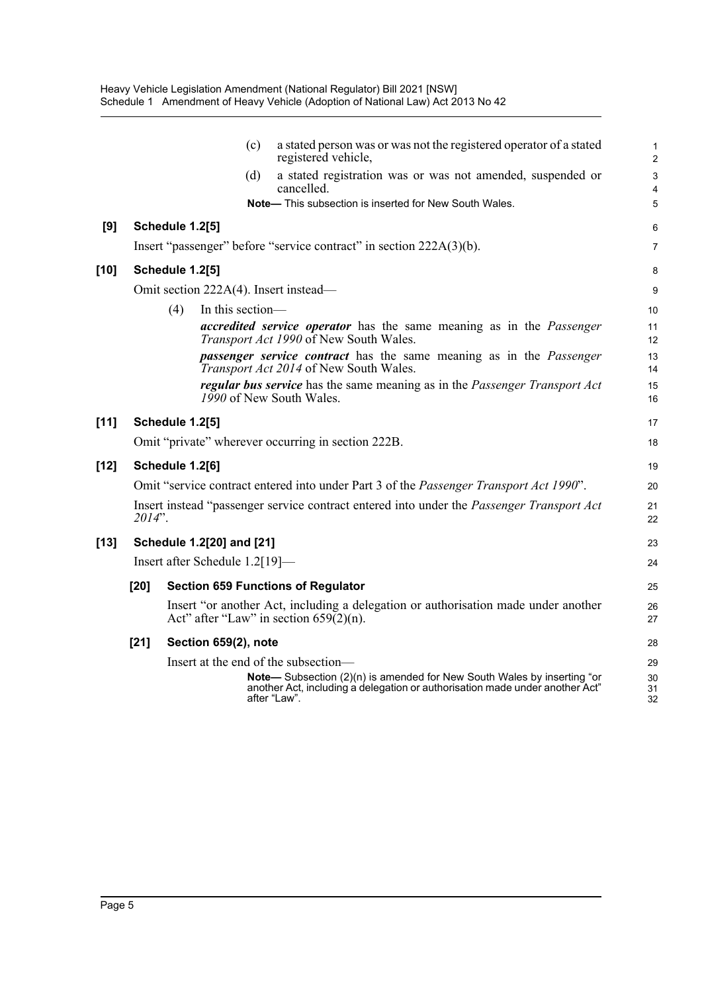|        |                                |                        |                           | (c) | a stated person was or was not the registered operator of a stated<br>registered vehicle,                                                                              | $\mathbf{1}$<br>$\overline{2}$ |  |  |
|--------|--------------------------------|------------------------|---------------------------|-----|------------------------------------------------------------------------------------------------------------------------------------------------------------------------|--------------------------------|--|--|
|        |                                |                        |                           | (d) | a stated registration was or was not amended, suspended or<br>cancelled.                                                                                               | 3<br>4                         |  |  |
|        |                                |                        |                           |     | Note- This subsection is inserted for New South Wales.                                                                                                                 | 5                              |  |  |
| [9]    |                                | <b>Schedule 1.2[5]</b> |                           |     |                                                                                                                                                                        | 6                              |  |  |
|        |                                |                        |                           |     | Insert "passenger" before "service contract" in section 222A(3)(b).                                                                                                    | $\overline{7}$                 |  |  |
| [10]   |                                | <b>Schedule 1.2[5]</b> |                           |     |                                                                                                                                                                        | 8                              |  |  |
|        |                                |                        |                           |     | Omit section 222A(4). Insert instead—                                                                                                                                  | 9                              |  |  |
|        |                                | (4)                    | In this section-          |     |                                                                                                                                                                        | 10                             |  |  |
|        |                                |                        |                           |     | accredited service operator has the same meaning as in the Passenger<br>Transport Act 1990 of New South Wales.                                                         | 11<br>12                       |  |  |
|        |                                |                        |                           |     | <i>passenger service contract</i> has the same meaning as in the <i>Passenger</i><br>Transport Act 2014 of New South Wales.                                            | 13<br>14                       |  |  |
|        |                                |                        |                           |     | regular bus service has the same meaning as in the Passenger Transport Act<br>1990 of New South Wales.                                                                 | 15<br>16                       |  |  |
| $[11]$ |                                | <b>Schedule 1.2[5]</b> |                           |     |                                                                                                                                                                        | 17                             |  |  |
|        |                                |                        |                           |     | Omit "private" wherever occurring in section 222B.                                                                                                                     | 18                             |  |  |
| $[12]$ | Schedule 1.2[6]                |                        |                           |     |                                                                                                                                                                        |                                |  |  |
|        |                                |                        |                           |     | Omit "service contract entered into under Part 3 of the <i>Passenger Transport Act 1990</i> ".                                                                         | 20                             |  |  |
|        | $2014$ ".                      |                        |                           |     | Insert instead "passenger service contract entered into under the Passenger Transport Act                                                                              | 21<br>22                       |  |  |
| [13]   |                                |                        | Schedule 1.2[20] and [21] |     |                                                                                                                                                                        | 23                             |  |  |
|        | Insert after Schedule 1.2[19]— |                        |                           |     |                                                                                                                                                                        |                                |  |  |
|        | [20]                           |                        |                           |     | <b>Section 659 Functions of Regulator</b>                                                                                                                              | 25                             |  |  |
|        |                                |                        |                           |     | Insert "or another Act, including a delegation or authorisation made under another<br>Act" after "Law" in section $659(2)(n)$ .                                        | 26<br>27                       |  |  |
|        | $[21]$                         |                        | Section 659(2), note      |     |                                                                                                                                                                        | 28                             |  |  |
|        |                                |                        |                           |     | Insert at the end of the subsection-                                                                                                                                   | 29                             |  |  |
|        |                                |                        |                           |     | Note-Subsection (2)(n) is amended for New South Wales by inserting "or<br>another Act, including a delegation or authorisation made under another Act"<br>after "Law". | 30<br>31<br>32                 |  |  |
|        |                                |                        |                           |     |                                                                                                                                                                        |                                |  |  |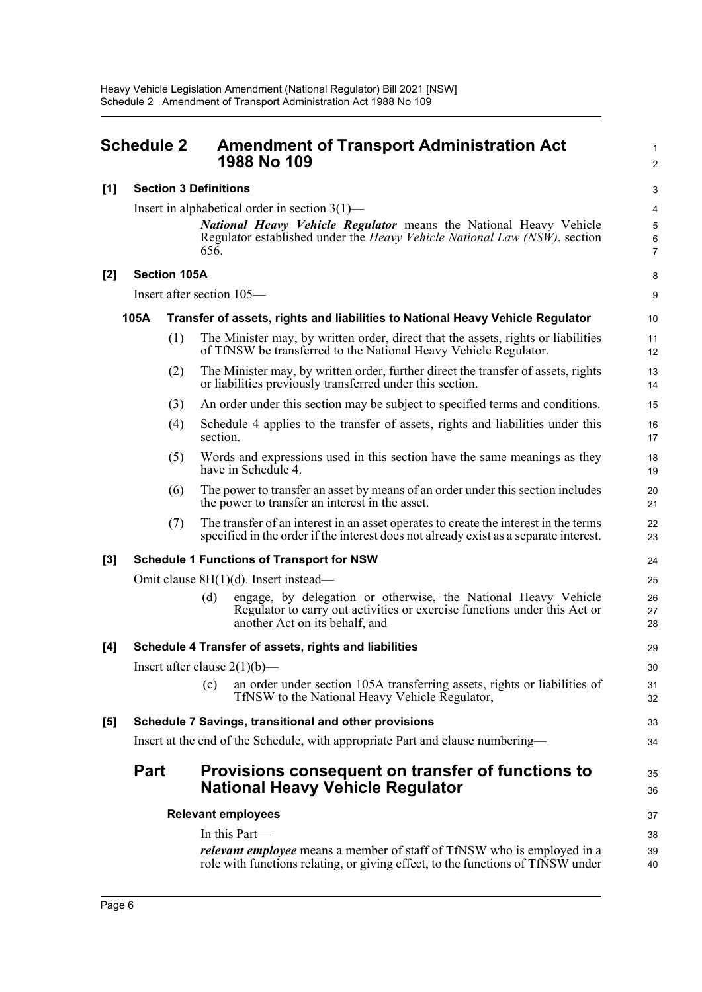Insert in alphabetical order in section 3(1)—

#### <span id="page-8-0"></span>**Schedule 2 Amendment of Transport Administration Act 1988 No 109**

| 1988 No 109                                                                                                                                                                          | 2                        |
|--------------------------------------------------------------------------------------------------------------------------------------------------------------------------------------|--------------------------|
| efinitions                                                                                                                                                                           | 3                        |
| nabetical order in section $3(1)$ —                                                                                                                                                  | $\overline{4}$           |
| <b>National Heavy Vehicle Regulator</b> means the National Heavy Vehicle<br>Regulator established under the <i>Heavy Vehicle National Law (NSW)</i> , section<br>656.                | 5<br>6<br>$\overline{7}$ |
| A                                                                                                                                                                                    | 8                        |
| ection $105-$                                                                                                                                                                        | 9                        |
| fer of assets, rights and liabilities to National Heavy Vehicle Regulator                                                                                                            | 10                       |
| The Minister may, by written order, direct that the assets, rights or liabilities<br>of TfNSW be transferred to the National Heavy Vehicle Regulator.                                | 11<br>12                 |
| The Minister may, by written order, further direct the transfer of assets, rights<br>or liabilities previously transferred under this section.                                       | 13<br>14                 |
| An order under this section may be subject to specified terms and conditions.                                                                                                        | 15                       |
| Schedule 4 applies to the transfer of assets, rights and liabilities under this<br>section.                                                                                          | 16<br>17                 |
| Words and expressions used in this section have the same meanings as they<br>have in Schedule 4.                                                                                     | 18<br>19                 |
| The power to transfer an asset by means of an order under this section includes<br>the power to transfer an interest in the asset.                                                   | 20<br>21                 |
| The transfer of an interest in an asset operates to create the interest in the terms<br>specified in the order if the interest does not already exist as a separate interest.        | 22<br>23                 |
| <b>Functions of Transport for NSW</b>                                                                                                                                                | 24                       |
| $8H(1)(d)$ . Insert instead—                                                                                                                                                         | 25                       |
| engage, by delegation or otherwise, the National Heavy Vehicle<br>(d)<br>Regulator to carry out activities or exercise functions under this Act or<br>another Act on its behalf, and | 26<br>27<br>28           |
|                                                                                                                                                                                      |                          |

1  $\mathcal{L}$ 

33 34

35 36

#### 656. **[2] Section 105A**

**[1] Section 3 Definitions**

Insert after section 105—

# **105A** Transfer of assets, rights and liabilities to National Heavy

- $(1)$  The Minister may, by written order, direct that the of TfNSW be transferred to the National Heavy Vel
- $(2)$  The Minister may, by written order, further direct the transfer of assets, rights, rights, rights, rights, rights, rights, rights, rights, rights, rights, rights, rights, rights, rights, rights, rights, rights, righ or liabilities previously transferred under this section.
- $(3)$  An order under this section may be subject to specified the specified terms and conditions.
- $(4)$  Schedule 4 applies to the transfer of assets, rights section.
- $(5)$  Words and expressions used in this section have the same means as the same means as the same means as the same means as the same means as the W  $\frac{1}{2}$ have in Schedule 4.
- $(6)$  The power to transfer an asset by means of an order u the power to transfer an interest in the asset.
- $(7)$  The transfer of an interest in an asset operates to creater specified in the order if the interest does not already  $\epsilon$

#### **[3] Schedule 1 Functions of Transport for NSW**

Omit clause 8H(1)(d). Insert instead—

#### **[4] Schedule 4 Transfer of assets, rights and liabilities**

Insert after clause  $2(1)(b)$ —

(c) an order under section 105A transferring assets, rights or liabilities of TfNSW to the National Heavy Vehicle Regulator,

#### **[5] Schedule 7 Savings, transitional and other provisions**

Insert at the end of the Schedule, with appropriate Part and clause numbering—

### **Part Provisions consequent on transfer of functions to National Heavy Vehicle Regulator**

#### **Relevant employees** In this Part *relevant employee* means a member of staff of TfNSW who is employed in a role with functions relating, or giving effect, to the functions of TfNSW under 37 38 39 40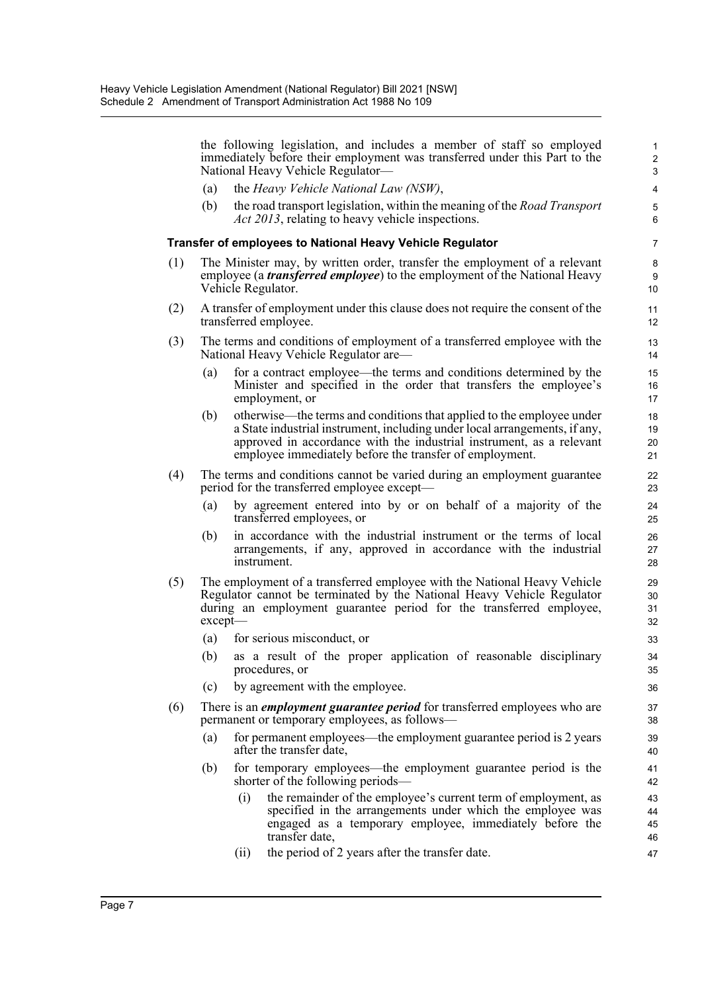the following legislation, and includes a member of staff so employed immediately before their employment was transferred under this Part to the National Heavy Vehicle Regulator—

- (a) the *Heavy Vehicle National Law (NSW)*,
- (b) the road transport legislation, within the meaning of the *Road Transport Act 2013*, relating to heavy vehicle inspections.

#### **Transfer of employees to National Heavy Vehicle Regulator**

- (1) The Minister may, by written order, transfer the employment of a relevant employee (a *transferred employee*) to the employment of the National Heavy Vehicle Regulator.
- (2) A transfer of employment under this clause does not require the consent of the transferred employee.
- (3) The terms and conditions of employment of a transferred employee with the National Heavy Vehicle Regulator are—
	- (a) for a contract employee—the terms and conditions determined by the Minister and specified in the order that transfers the employee's employment, or
	- (b) otherwise—the terms and conditions that applied to the employee under a State industrial instrument, including under local arrangements, if any, approved in accordance with the industrial instrument, as a relevant employee immediately before the transfer of employment.
- (4) The terms and conditions cannot be varied during an employment guarantee period for the transferred employee except—
	- (a) by agreement entered into by or on behalf of a majority of the transferred employees, or
	- (b) in accordance with the industrial instrument or the terms of local arrangements, if any, approved in accordance with the industrial instrument.
- (5) The employment of a transferred employee with the National Heavy Vehicle Regulator cannot be terminated by the National Heavy Vehicle Regulator during an employment guarantee period for the transferred employee, except—
	- (a) for serious misconduct, or
	- (b) as a result of the proper application of reasonable disciplinary procedures, or
	- (c) by agreement with the employee.
- (6) There is an *employment guarantee period* for transferred employees who are permanent or temporary employees, as follows—
	- (a) for permanent employees—the employment guarantee period is 2 years after the transfer date,
	- (b) for temporary employees—the employment guarantee period is the shorter of the following periods—
		- (i) the remainder of the employee's current term of employment, as specified in the arrangements under which the employee was engaged as a temporary employee, immediately before the transfer date,
		- (ii) the period of 2 years after the transfer date.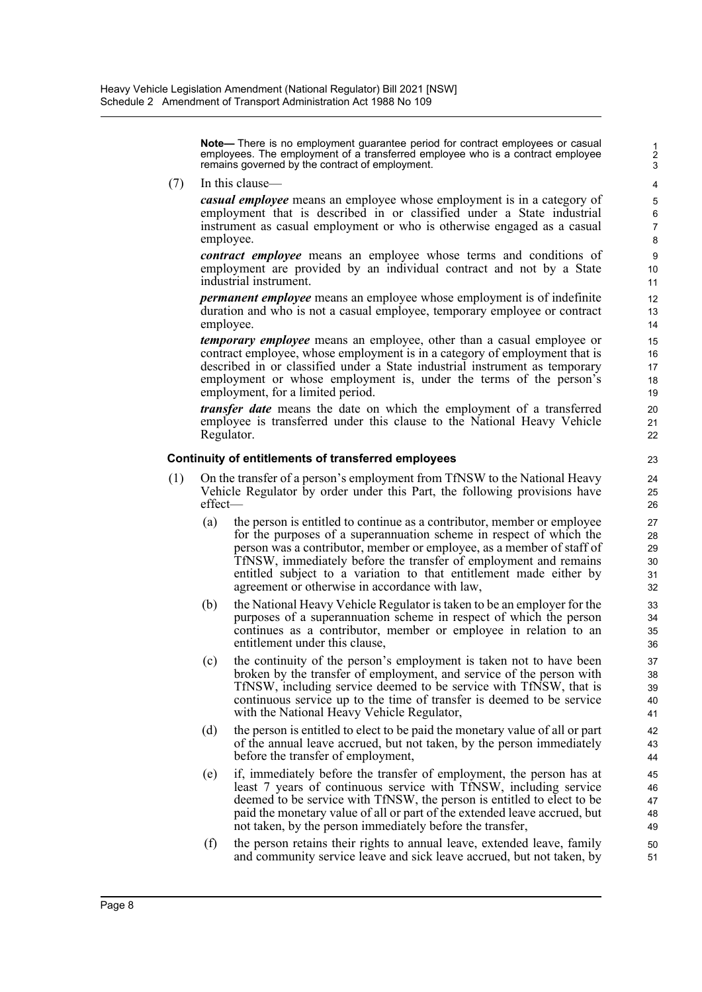**Note—** There is no employment guarantee period for contract employees or casual employees. The employment of a transferred employee who is a contract employee remains governed by the contract of employment.

(7) In this clause—

*casual employee* means an employee whose employment is in a category of employment that is described in or classified under a State industrial instrument as casual employment or who is otherwise engaged as a casual employee.

*contract employee* means an employee whose terms and conditions of employment are provided by an individual contract and not by a State industrial instrument.

*permanent employee* means an employee whose employment is of indefinite duration and who is not a casual employee, temporary employee or contract employee.

*temporary employee* means an employee, other than a casual employee or contract employee, whose employment is in a category of employment that is described in or classified under a State industrial instrument as temporary employment or whose employment is, under the terms of the person's employment, for a limited period.

*transfer date* means the date on which the employment of a transferred employee is transferred under this clause to the National Heavy Vehicle Regulator.

#### **Continuity of entitlements of transferred employees**

- (1) On the transfer of a person's employment from TfNSW to the National Heavy Vehicle Regulator by order under this Part, the following provisions have effect—
	- (a) the person is entitled to continue as a contributor, member or employee for the purposes of a superannuation scheme in respect of which the person was a contributor, member or employee, as a member of staff of TfNSW, immediately before the transfer of employment and remains entitled subject to a variation to that entitlement made either by agreement or otherwise in accordance with law,
	- (b) the National Heavy Vehicle Regulator is taken to be an employer for the purposes of a superannuation scheme in respect of which the person continues as a contributor, member or employee in relation to an entitlement under this clause,
	- (c) the continuity of the person's employment is taken not to have been broken by the transfer of employment, and service of the person with TfNSW, including service deemed to be service with TfNSW, that is continuous service up to the time of transfer is deemed to be service with the National Heavy Vehicle Regulator,
	- (d) the person is entitled to elect to be paid the monetary value of all or part of the annual leave accrued, but not taken, by the person immediately before the transfer of employment,
	- (e) if, immediately before the transfer of employment, the person has at least 7 years of continuous service with TfNSW, including service deemed to be service with TfNSW, the person is entitled to elect to be paid the monetary value of all or part of the extended leave accrued, but not taken, by the person immediately before the transfer,
	- (f) the person retains their rights to annual leave, extended leave, family and community service leave and sick leave accrued, but not taken, by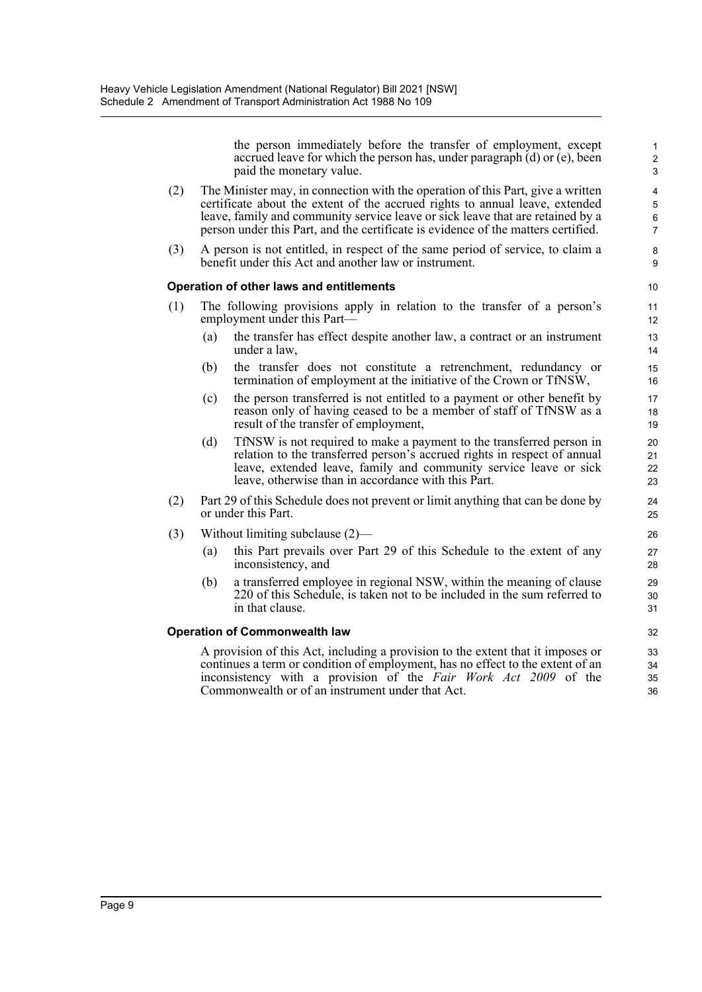the person immediately before the transfer of employment, except accrued leave for which the person has, under paragraph (d) or (e), been paid the monetary value.

- (2) The Minister may, in connection with the operation of this Part, give a written certificate about the extent of the accrued rights to annual leave, extended leave, family and community service leave or sick leave that are retained by a person under this Part, and the certificate is evidence of the matters certified.
- (3) A person is not entitled, in respect of the same period of service, to claim a benefit under this Act and another law or instrument.

#### **Operation of other laws and entitlements**

- (1) The following provisions apply in relation to the transfer of a person's employment under this Part—
	- (a) the transfer has effect despite another law, a contract or an instrument under a law,
	- (b) the transfer does not constitute a retrenchment, redundancy or termination of employment at the initiative of the Crown or TfNSW,
	- (c) the person transferred is not entitled to a payment or other benefit by reason only of having ceased to be a member of staff of TfNSW as a result of the transfer of employment,
	- (d) TfNSW is not required to make a payment to the transferred person in relation to the transferred person's accrued rights in respect of annual leave, extended leave, family and community service leave or sick leave, otherwise than in accordance with this Part.
- (2) Part 29 of this Schedule does not prevent or limit anything that can be done by or under this Part.
- (3) Without limiting subclause (2)—
	- (a) this Part prevails over Part 29 of this Schedule to the extent of any inconsistency, and
	- (b) a transferred employee in regional NSW, within the meaning of clause 220 of this Schedule, is taken not to be included in the sum referred to in that clause.

#### **Operation of Commonwealth law**

A provision of this Act, including a provision to the extent that it imposes or continues a term or condition of employment, has no effect to the extent of an inconsistency with a provision of the *Fair Work Act 2009* of the Commonwealth or of an instrument under that Act.